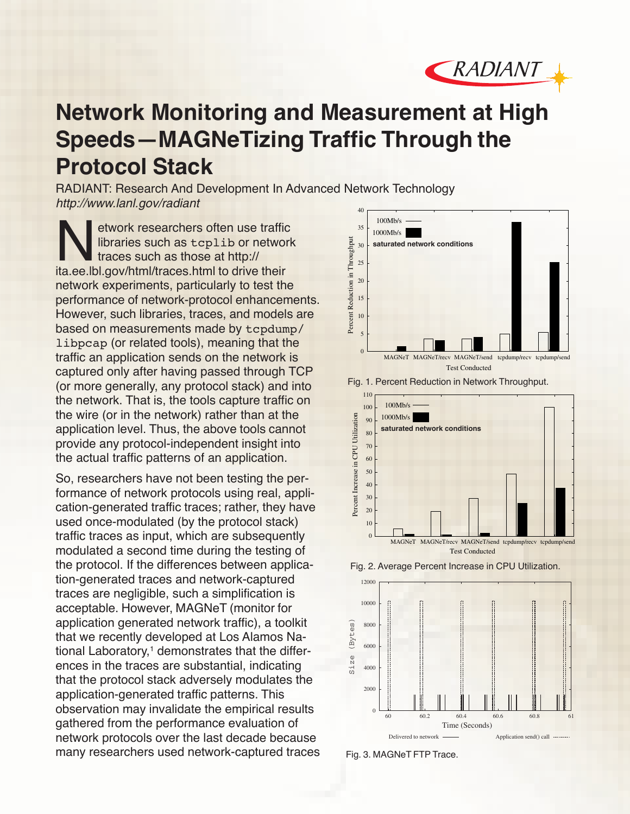

## **Network Monitoring and Measurement at High Speeds—MAGNeTizing Traffic Through the Protocol Stack**

RADIANT: Research And Development In Advanced Network Technology http://www.lanl.gov/radiant 40

Network researchers often use traffic<br>libraries such as tcplib or networ<br>traces such as those at http://<br>ita ee lbl gov/html/traces html to drive their libraries such as tcplib or network traces such as those at http:// ita.ee.lbl.gov/html/traces.html to drive their network experiments, particularly to test the performance of network-protocol enhancements. However, such libraries, traces, and models are based on measurements made by tcpdump/ libpcap (or related tools), meaning that the traffic an application sends on the network is captured only after having passed through TCP (or more generally, any protocol stack) and into the network. That is, the tools capture traffic on the wire (or in the network) rather than at the application level. Thus, the above tools cannot provide any protocol-independent insight into the actual traffic patterns of an application.

So, researchers have not been testing the performance of network protocols using real, application-generated traffic traces; rather, they have used once-modulated (by the protocol stack) traffic traces as input, which are subsequently modulated a second time during the testing of the protocol. If the differences between application-generated traces and network-captured traces are negligible, such a simplification is acceptable. However, MAGNeT (monitor for application generated network traffic), a toolkit that we recently developed at Los Alamos National Laboratory, $<sup>1</sup>$  demonstrates that the differ-</sup> ences in the traces are substantial, indicating that the protocol stack adversely modulates the application-generated traffic patterns. This observation may invalidate the empirical results gathered from the performance evaluation of network protocols over the last decade because many researchers used network-captured traces







Fig. 2. Average Percent Increase in CPU Utilization.